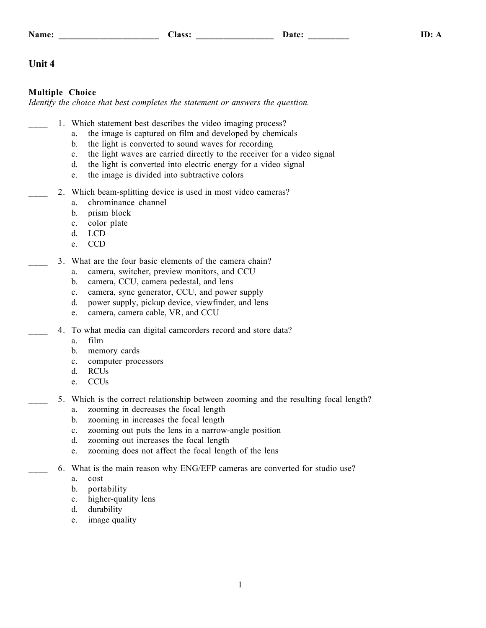## **Unit 4**

## **Multiple Choice**

*Identify the choice that best completes the statement or answers the question.*

- 1. Which statement best describes the video imaging process?
	- a. the image is captured on film and developed by chemicals
	- b. the light is converted to sound waves for recording
	- c. the light waves are carried directly to the receiver for a video signal
	- d. the light is converted into electric energy for a video signal
	- e. the image is divided into subtractive colors
	- 2. Which beam-splitting device is used in most video cameras?
		- a. chrominance channel
		- b. prism block
		- c. color plate
		- d. LCD
		- e. CCD
- 3. What are the four basic elements of the camera chain?
	- a. camera, switcher, preview monitors, and CCU
	- b. camera, CCU, camera pedestal, and lens
	- c. camera, sync generator, CCU, and power supply
	- d. power supply, pickup device, viewfinder, and lens
	- e. camera, camera cable, VR, and CCU
- 4. To what media can digital camcorders record and store data?
	- a. film
	- b. memory cards
	- c. computer processors
	- d. RCUs
	- e. CCUs
- 5. Which is the correct relationship between zooming and the resulting focal length?
	- a. zooming in decreases the focal length
	- b. zooming in increases the focal length
	- c. zooming out puts the lens in a narrow-angle position
	- d. zooming out increases the focal length
	- e. zooming does not affect the focal length of the lens
	- 6. What is the main reason why ENG/EFP cameras are converted for studio use?
		- a. cost
		- b. portability
		- c. higher-quality lens
		- d. durability
		- e. image quality